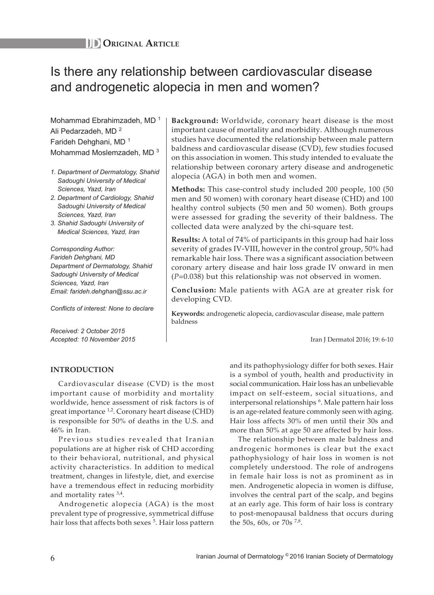# Is there any relationship between cardiovascular disease and androgenetic alopecia in men and women?

Mohammad Ebrahimzadeh, MD<sup>1</sup> Ali Pedarzadeh, MD <sup>2</sup> Farideh Dehghani, MD <sup>1</sup> Mohammad Moslemzadeh, MD<sup>3</sup>

- *1. Department of Dermatology, Shahid Sadoughi University of Medical Sciences, Yazd, Iran*
- *2. Department of Cardiology, Shahid Sadoughi University of Medical Sciences, Yazd, Iran*
- *3. Shahid Sadoughi University of Medical Sciences, Yazd, Iran*

*Corresponding Author: Farideh Dehghani, MD Department of Dermatology, Shahid Sadoughi University of Medical Sciences, Yazd, Iran Email: farideh.dehghan@ssu.ac.ir*

*Conflicts of interest: None to declare*

*Received: 2 October 2015 Accepted: 10 November 2015*

**Background:** Worldwide, coronary heart disease is the most important cause of mortality and morbidity. Although numerous studies have documented the relationship between male pattern baldness and cardiovascular disease (CVD), few studies focused on this association in women. This study intended to evaluate the relationship between coronary artery disease and androgenetic alopecia (AGA) in both men and women.

**Methods:** This case-control study included 200 people, 100 (50 men and 50 women) with coronary heart disease (CHD) and 100 healthy control subjects (50 men and 50 women). Both groups were assessed for grading the severity of their baldness. The collected data were analyzed by the chi-square test.

**Results:** A total of 74% of participants in this group had hair loss severity of grades IV-VIII, however in the control group, 50% had remarkable hair loss. There was a significant association between coronary artery disease and hair loss grade IV onward in men (*P*=0.038) but this relationship was not observed in women.

**Conclusion:** Male patients with AGA are at greater risk for developing CVD.

**Keywords:** androgenetic alopecia, cardiovascular disease, male pattern baldness

Iran J Dermatol 2016; 19: 6-10

## **INTRODUCTION**

Cardiovascular disease (CVD) is the most important cause of morbidity and mortality worldwide, hence assessment of risk factors is of great importance  $^{1,2}$ . Coronary heart disease (CHD) is responsible for 50% of deaths in the U.S. and 46% in Iran.

Previous studies revealed that Iranian populations are at higher risk of CHD according to their behavioral, nutritional, and physical activity characteristics. In addition to medical treatment, changes in lifestyle, diet, and exercise have a tremendous effect in reducing morbidity and mortality rates  $3,4$ .

Androgenetic alopecia (AGA) is the most prevalent type of progressive, symmetrical diffuse hair loss that affects both sexes <sup>5</sup>. Hair loss pattern and its pathophysiology differ for both sexes. Hair is a symbol of youth, health and productivity in social communication. Hair loss has an unbelievable impact on self-esteem, social situations, and interpersonal relationships <sup>6</sup> . Male pattern hair loss is an age-related feature commonly seen with aging. Hair loss affects 30% of men until their 30s and more than 50% at age 50 are affected by hair loss.

The relationship between male baldness and androgenic hormones is clear but the exact pathophysiology of hair loss in women is not completely understood. The role of androgens in female hair loss is not as prominent as in men. Androgenetic alopecia in women is diffuse, involves the central part of the scalp, and begins at an early age. This form of hair loss is contrary to post-menopausal baldness that occurs during the 50s, 60s, or 70s  $^{7,8}$ .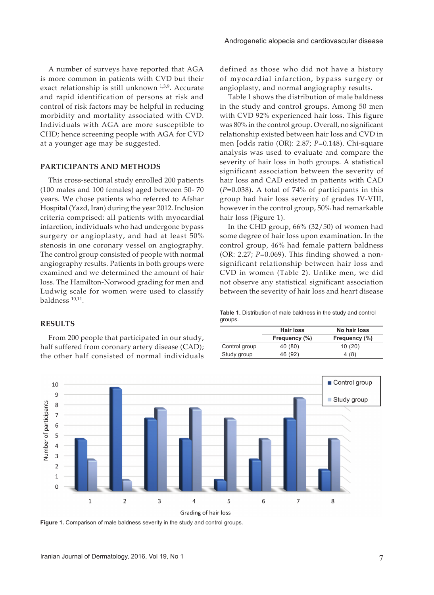A number of surveys have reported that AGA is more common in patients with CVD but their exact relationship is still unknown 1,3,9. Accurate and rapid identification of persons at risk and control of risk factors may be helpful in reducing morbidity and mortality associated with CVD. Individuals with AGA are more susceptible to CHD; hence screening people with AGA for CVD at a younger age may be suggested.

### **PARTICIPANTS AND METHODS**

This cross-sectional study enrolled 200 patients (100 males and 100 females) aged between 50- 70 years. We chose patients who referred to Afshar Hospital (Yazd, Iran) during the year 2012. Inclusion criteria comprised: all patients with myocardial infarction, individuals who had undergone bypass surgery or angioplasty, and had at least 50% stenosis in one coronary vessel on angiography. The control group consisted of people with normal angiography results. Patients in both groups were examined and we determined the amount of hair loss. The Hamilton-Norwood grading for men and Ludwig scale for women were used to classify baldness 10,11.

## **RESULTS**

From 200 people that participated in our study, half suffered from coronary artery disease (CAD); the other half consisted of normal individuals defined as those who did not have a history of myocardial infarction, bypass surgery or angioplasty, and normal angiography results.

Table 1 shows the distribution of male baldness in the study and control groups. Among 50 men with CVD 92% experienced hair loss. This figure was 80% in the control group. Overall, no significant relationship existed between hair loss and CVD in men [odds ratio (OR): 2.87; *P*=0.148). Chi-square analysis was used to evaluate and compare the severity of hair loss in both groups. A statistical significant association between the severity of hair loss and CAD existed in patients with CAD (*P*=0.038). A total of 74% of participants in this group had hair loss severity of grades IV-VIII, however in the control group, 50% had remarkable hair loss (Figure 1).

In the CHD group, 66% (32/50) of women had some degree of hair loss upon examination. In the control group, 46% had female pattern baldness (OR: 2.27; *P*=0.069). This finding showed a nonsignificant relationship between hair loss and CVD in women (Table 2). Unlike men, we did not observe any statistical significant association between the severity of hair loss and heart disease

| <b>Table 1.</b> Distribution of male baldness in the study and control |  |  |  |
|------------------------------------------------------------------------|--|--|--|
| groups.                                                                |  |  |  |

|               | <b>Hair loss</b> | No hair loss  |
|---------------|------------------|---------------|
|               | Frequency (%)    | Frequency (%) |
| Control group | 40 (80)          | 10(20)        |
| Study group   | 46 (92)          | 4 (8)         |



**Figure 1.** Comparison of male baldness severity in the study and control groups.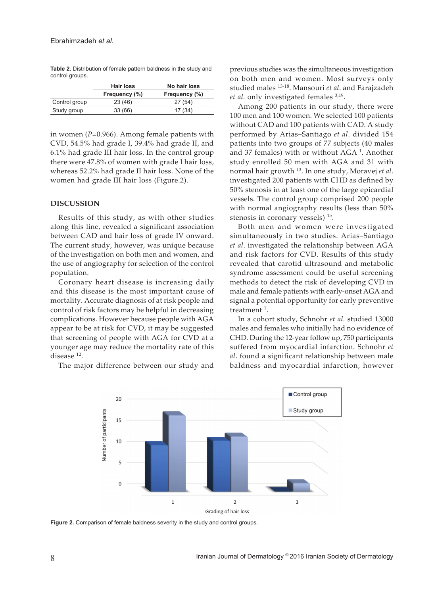**Table 2.** Distribution of female pattern baldness in the study and control groups.

|               | Hair loss     | No hair loss  |  |  |
|---------------|---------------|---------------|--|--|
|               | Frequency (%) | Frequency (%) |  |  |
| Control group | 23(46)        | 27(54)        |  |  |
| Study group   | 33(66)        | 17(34)        |  |  |

in women (*P*=0.966). Among female patients with CVD, 54.5% had grade I, 39.4% had grade II, and 6.1% had grade III hair loss. In the control group there were 47.8% of women with grade I hair loss, whereas 52.2% had grade II hair loss. None of the women had grade III hair loss (Figure.2).

## **DISCUSSION**

Results of this study, as with other studies along this line, revealed a significant association between CAD and hair loss of grade IV onward. The current study, however, was unique because of the investigation on both men and women, and the use of angiography for selection of the control population.

Coronary heart disease is increasing daily and this disease is the most important cause of mortality. Accurate diagnosis of at risk people and control of risk factors may be helpful in decreasing complications. However because people with AGA appear to be at risk for CVD, it may be suggested that screening of people with AGA for CVD at a younger age may reduce the mortality rate of this disease<sup>12</sup>.

The major difference between our study and

previous studies was the simultaneous investigation on both men and women. Most surveys only studied males 13-18. Mansouri *et al*. and Farajzadeh *et al*. only investigated females 3,19.

Among 200 patients in our study, there were 100 men and 100 women. We selected 100 patients without CAD and 100 patients with CAD. A study performed by Arias–Santiago *et al*. divided 154 patients into two groups of 77 subjects (40 males and 37 females) with or without  $AGA<sup>1</sup>$ . Another study enrolled 50 men with AGA and 31 with normal hair growth 13. In one study, Moravej *et al*. investigated 200 patients with CHD as defined by 50% stenosis in at least one of the large epicardial vessels. The control group comprised 200 people with normal angiography results (less than 50% stenosis in coronary vessels)  $15$ .

Both men and women were investigated simultaneously in two studies. Arias–Santiago *et al*. investigated the relationship between AGA and risk factors for CVD. Results of this study revealed that carotid ultrasound and metabolic syndrome assessment could be useful screening methods to detect the risk of developing CVD in male and female patients with early-onset AGA and signal a potential opportunity for early preventive treatment<sup>1</sup>.

In a cohort study, Schnohr *et al*. studied 13000 males and females who initially had no evidence of CHD. During the 12-year follow up, 750 participants suffered from myocardial infarction. Schnohr *et al*. found a significant relationship between male baldness and myocardial infarction, however



**Figure 2.** Comparison of female baldness severity in the study and control groups.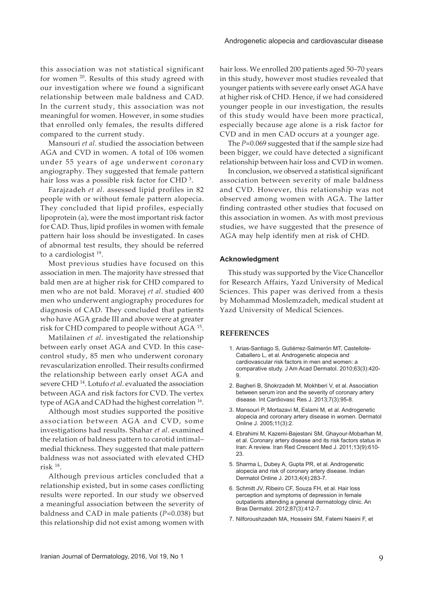this association was not statistical significant for women <sup>20</sup>. Results of this study agreed with our investigation where we found a significant relationship between male baldness and CAD. In the current study, this association was not meaningful for women. However, in some studies that enrolled only females, the results differed compared to the current study.

Mansouri *et al*. studied the association between AGA and CVD in women. A total of 106 women under 55 years of age underwent coronary angiography. They suggested that female pattern hair loss was a possible risk factor for CHD  $^3$ .

Farajzadeh *et al*. assessed lipid profiles in 82 people with or without female pattern alopecia. They concluded that lipid profiles, especially lipoprotein (a), were the most important risk factor for CAD. Thus, lipid profiles in women with female pattern hair loss should be investigated. In cases of abnormal test results, they should be referred to a cardiologist 19.

Most previous studies have focused on this association in men. The majority have stressed that bald men are at higher risk for CHD compared to men who are not bald. Moravej *et al*. studied 400 men who underwent angiography procedures for diagnosis of CAD. They concluded that patients who have AGA grade III and above were at greater risk for CHD compared to people without AGA <sup>15</sup>.

Matilainen *et al*. investigated the relationship between early onset AGA and CVD. In this casecontrol study, 85 men who underwent coronary revascularization enrolled. Their results confirmed the relationship between early onset AGA and severe CHD 14. Lotufo *et al*. evaluated the association between AGA and risk factors for CVD. The vertex type of AGA and CAD had the highest correlation <sup>16</sup>.

Although most studies supported the positive association between AGA and CVD, some investigations had results. Shahar *et al*. examined the relation of baldness pattern to carotid intimal– medial thickness. They suggested that male pattern baldness was not associated with elevated CHD risk 18.

Although previous articles concluded that a relationship existed, but in some cases conflicting results were reported. In our study we observed a meaningful association between the severity of baldness and CAD in male patients (*P*=0.038) but this relationship did not exist among women with

hair loss. We enrolled 200 patients aged 50–70 years in this study, however most studies revealed that younger patients with severe early onset AGA have at higher risk of CHD. Hence, if we had considered younger people in our investigation, the results of this study would have been more practical, especially because age alone is a risk factor for CVD and in men CAD occurs at a younger age.

The *P*=0.069 suggested that if the sample size had been bigger, we could have detected a significant relationship between hair loss and CVD in women.

In conclusion, we observed a statistical significant association between severity of male baldness and CVD. However, this relationship was not observed among women with AGA. The latter finding contrasted other studies that focused on this association in women. As with most previous studies, we have suggested that the presence of AGA may help identify men at risk of CHD.

#### **Acknowledgment**

This study was supported by the Vice Chancellor for Research Affairs, Yazd University of Medical Sciences. This paper was derived from a thesis by Mohammad Moslemzadeh, medical student at Yazd University of Medical Sciences.

### **REFERENCES**

- 1. Arias-Santiago S, Gutiérrez-Salmerón MT, Castellote-Caballero L, et al. Androgenetic alopecia and cardiovascular risk factors in men and women: a comparative study. J Am Acad Dermatol. 2010;63(3):420- 9.
- 2. Bagheri B, Shokrzadeh M, Mokhberi V, et al. Association between serum iron and the severity of coronary artery disease. Int Cardiovasc Res J. 2013;7(3):95-8.
- 3. Mansouri P, Mortazavi M, Eslami M, et al. Androgenetic alopecia and coronary artery disease in women. Dermatol Online J. 2005;11(3):2.
- 4. Ebrahimi M, Kazemi-Bajestani SM, Ghayour-Mobarhan M, et al. Coronary artery disease and its risk factors status in Iran: A review. Iran Red Crescent Med J. 2011;13(9):610- 23.
- 5. Sharma L, Dubey A, Gupta PR, et al. Androgenetic alopecia and risk of coronary artery disease. Indian Dermatol Online J. 2013;4(4):283-7.
- 6. Schmitt JV, Ribeiro CF, Souza FH, et al. Hair loss perception and symptoms of depression in female outpatients attending a general dermatology clinic. An Bras Dermatol. 2012;87(3):412-7.
- 7. Nilforoushzadeh MA, Hosseini SM, Fatemi Naeini F, et